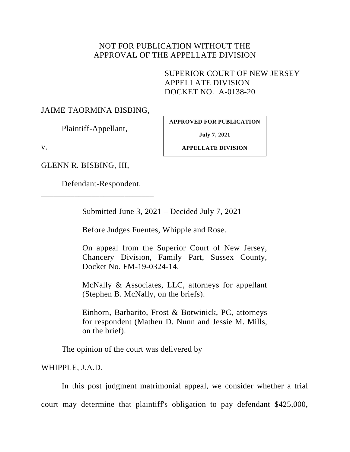## NOT FOR PUBLICATION WITHOUT THE APPROVAL OF THE APPELLATE DIVISION

SUPERIOR COURT OF NEW JERSEY APPELLATE DIVISION DOCKET NO. A-0138-20

## JAIME TAORMINA BISBING,

Plaintiff-Appellant,

**APPROVED FOR PUBLICATION**

**July 7, 2021**

v.

**APPELLATE DIVISION**

GLENN R. BISBING, III,

Defendant-Respondent.

\_\_\_\_\_\_\_\_\_\_\_\_\_\_\_\_\_\_\_\_\_\_\_\_\_\_\_

Submitted June 3, 2021 – Decided July 7, 2021

Before Judges Fuentes, Whipple and Rose.

On appeal from the Superior Court of New Jersey, Chancery Division, Family Part, Sussex County, Docket No. FM-19-0324-14.

McNally & Associates, LLC, attorneys for appellant (Stephen B. McNally, on the briefs).

Einhorn, Barbarito, Frost & Botwinick, PC, attorneys for respondent (Matheu D. Nunn and Jessie M. Mills, on the brief).

The opinion of the court was delivered by

WHIPPLE, J.A.D.

In this post judgment matrimonial appeal, we consider whether a trial court may determine that plaintiff's obligation to pay defendant \$425,000,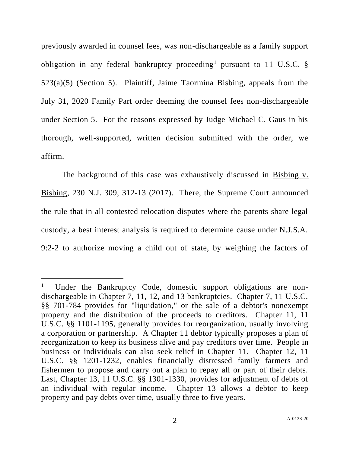previously awarded in counsel fees, was non-dischargeable as a family support obligation in any federal bankruptcy proceeding<sup>1</sup> pursuant to 11 U.S.C.  $\S$ 523(a)(5) (Section 5). Plaintiff, Jaime Taormina Bisbing, appeals from the July 31, 2020 Family Part order deeming the counsel fees non-dischargeable under Section 5. For the reasons expressed by Judge Michael C. Gaus in his thorough, well-supported, written decision submitted with the order, we affirm.

The background of this case was exhaustively discussed in Bisbing v. Bisbing, 230 N.J. 309, 312-13 (2017). There, the Supreme Court announced the rule that in all contested relocation disputes where the parents share legal custody, a best interest analysis is required to determine cause under N.J.S.A. 9:2-2 to authorize moving a child out of state, by weighing the factors of

<sup>1</sup> Under the Bankruptcy Code, domestic support obligations are nondischargeable in Chapter 7, 11, 12, and 13 bankruptcies. Chapter 7, 11 U.S.C. §§ 701-784 provides for "liquidation," or the sale of a debtor's nonexempt property and the distribution of the proceeds to creditors. Chapter 11, 11 U.S.C. §§ 1101-1195, generally provides for reorganization, usually involving a corporation or partnership. A Chapter 11 debtor typically proposes a plan of reorganization to keep its business alive and pay creditors over time. People in business or individuals can also seek relief in Chapter 11. Chapter 12, 11 U.S.C. §§ 1201-1232, enables financially distressed family farmers and fishermen to propose and carry out a plan to repay all or part of their debts. Last, Chapter 13, 11 U.S.C. §§ 1301-1330, provides for adjustment of debts of an individual with regular income. Chapter 13 allows a debtor to keep property and pay debts over time, usually three to five years.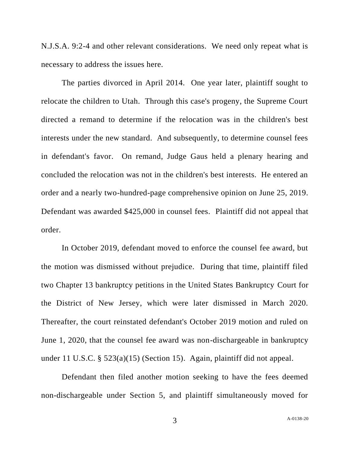N.J.S.A. 9:2-4 and other relevant considerations. We need only repeat what is necessary to address the issues here.

The parties divorced in April 2014. One year later, plaintiff sought to relocate the children to Utah. Through this case's progeny, the Supreme Court directed a remand to determine if the relocation was in the children's best interests under the new standard. And subsequently, to determine counsel fees in defendant's favor. On remand, Judge Gaus held a plenary hearing and concluded the relocation was not in the children's best interests. He entered an order and a nearly two-hundred-page comprehensive opinion on June 25, 2019. Defendant was awarded \$425,000 in counsel fees. Plaintiff did not appeal that order.

In October 2019, defendant moved to enforce the counsel fee award, but the motion was dismissed without prejudice. During that time, plaintiff filed two Chapter 13 bankruptcy petitions in the United States Bankruptcy Court for the District of New Jersey, which were later dismissed in March 2020. Thereafter, the court reinstated defendant's October 2019 motion and ruled on June 1, 2020, that the counsel fee award was non-dischargeable in bankruptcy under 11 U.S.C. § 523(a)(15) (Section 15). Again, plaintiff did not appeal.

Defendant then filed another motion seeking to have the fees deemed non-dischargeable under Section 5, and plaintiff simultaneously moved for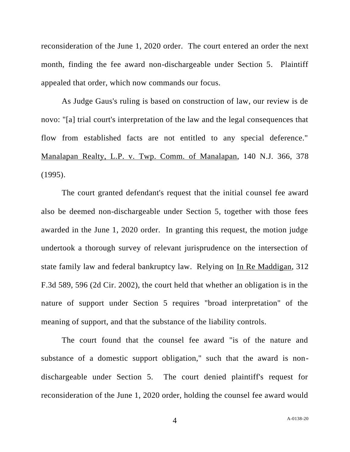reconsideration of the June 1, 2020 order. The court entered an order the next month, finding the fee award non-dischargeable under Section 5. Plaintiff appealed that order, which now commands our focus.

As Judge Gaus's ruling is based on construction of law, our review is de novo: "[a] trial court's interpretation of the law and the legal consequences that flow from established facts are not entitled to any special deference." Manalapan Realty, L.P. v. Twp. Comm. of Manalapan, 140 N.J. 366, 378 (1995).

The court granted defendant's request that the initial counsel fee award also be deemed non-dischargeable under Section 5, together with those fees awarded in the June 1, 2020 order. In granting this request, the motion judge undertook a thorough survey of relevant jurisprudence on the intersection of state family law and federal bankruptcy law. Relying on In Re Maddigan, 312 F.3d 589, 596 (2d Cir. 2002), the court held that whether an obligation is in the nature of support under Section 5 requires "broad interpretation" of the meaning of support, and that the substance of the liability controls.

The court found that the counsel fee award "is of the nature and substance of a domestic support obligation," such that the award is nondischargeable under Section 5. The court denied plaintiff's request for reconsideration of the June 1, 2020 order, holding the counsel fee award would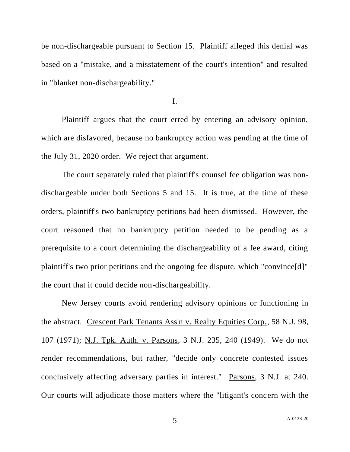be non-dischargeable pursuant to Section 15. Plaintiff alleged this denial was based on a "mistake, and a misstatement of the court's intention" and resulted in "blanket non-dischargeability."

I.

Plaintiff argues that the court erred by entering an advisory opinion, which are disfavored, because no bankruptcy action was pending at the time of the July 31, 2020 order. We reject that argument.

The court separately ruled that plaintiff's counsel fee obligation was nondischargeable under both Sections 5 and 15. It is true, at the time of these orders, plaintiff's two bankruptcy petitions had been dismissed. However, the court reasoned that no bankruptcy petition needed to be pending as a prerequisite to a court determining the dischargeability of a fee award, citing plaintiff's two prior petitions and the ongoing fee dispute, which "convince[d]" the court that it could decide non-dischargeability.

New Jersey courts avoid rendering advisory opinions or functioning in the abstract. Crescent Park Tenants Ass'n v. Realty Equities Corp., 58 N.J. 98, 107 (1971); N.J. Tpk. Auth. v. Parsons, 3 N.J. 235, 240 (1949). We do not render recommendations, but rather, "decide only concrete contested issues conclusively affecting adversary parties in interest." Parsons, 3 N.J. at 240. Our courts will adjudicate those matters where the "litigant's concern with the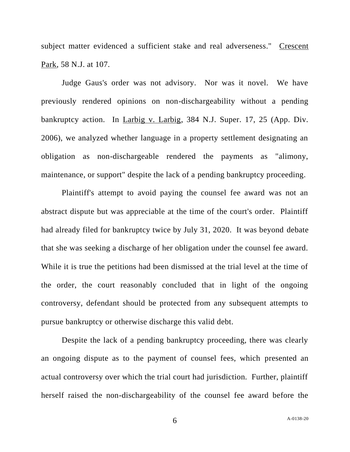subject matter evidenced a sufficient stake and real adverseness." Crescent Park, 58 N.J. at 107.

Judge Gaus's order was not advisory. Nor was it novel. We have previously rendered opinions on non-dischargeability without a pending bankruptcy action. In Larbig v. Larbig, 384 N.J. Super. 17, 25 (App. Div. 2006), we analyzed whether language in a property settlement designating an obligation as non-dischargeable rendered the payments as "alimony, maintenance, or support" despite the lack of a pending bankruptcy proceeding.

Plaintiff's attempt to avoid paying the counsel fee award was not an abstract dispute but was appreciable at the time of the court's order. Plaintiff had already filed for bankruptcy twice by July 31, 2020. It was beyond debate that she was seeking a discharge of her obligation under the counsel fee award. While it is true the petitions had been dismissed at the trial level at the time of the order, the court reasonably concluded that in light of the ongoing controversy, defendant should be protected from any subsequent attempts to pursue bankruptcy or otherwise discharge this valid debt.

Despite the lack of a pending bankruptcy proceeding, there was clearly an ongoing dispute as to the payment of counsel fees, which presented an actual controversy over which the trial court had jurisdiction. Further, plaintiff herself raised the non-dischargeability of the counsel fee award before the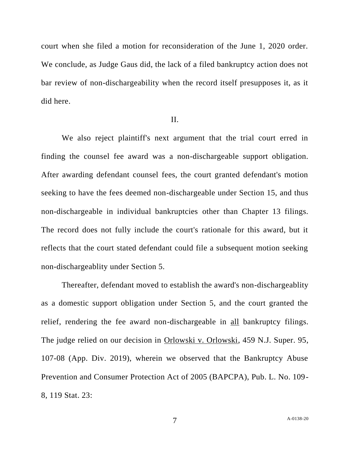court when she filed a motion for reconsideration of the June 1, 2020 order. We conclude, as Judge Gaus did, the lack of a filed bankruptcy action does not bar review of non-dischargeability when the record itself presupposes it, as it did here.

## II.

We also reject plaintiff's next argument that the trial court erred in finding the counsel fee award was a non-dischargeable support obligation. After awarding defendant counsel fees, the court granted defendant's motion seeking to have the fees deemed non-dischargeable under Section 15, and thus non-dischargeable in individual bankruptcies other than Chapter 13 filings. The record does not fully include the court's rationale for this award, but it reflects that the court stated defendant could file a subsequent motion seeking non-dischargeablity under Section 5.

Thereafter, defendant moved to establish the award's non-dischargeablity as a domestic support obligation under Section 5, and the court granted the relief, rendering the fee award non-dischargeable in <u>all</u> bankruptcy filings. The judge relied on our decision in Orlowski v. Orlowski, 459 N.J. Super. 95, 107-08 (App. Div. 2019), wherein we observed that the Bankruptcy Abuse Prevention and Consumer Protection Act of 2005 (BAPCPA), Pub. L. No. 109- 8, 119 Stat. 23: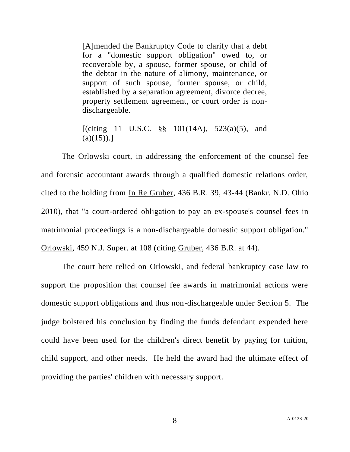[A]mended the Bankruptcy Code to clarify that a debt for a "domestic support obligation" owed to, or recoverable by, a spouse, former spouse, or child of the debtor in the nature of alimony, maintenance, or support of such spouse, former spouse, or child, established by a separation agreement, divorce decree, property settlement agreement, or court order is nondischargeable.

[(citing 11 U.S.C.  $\S\S$  101(14A), 523(a)(5), and  $(a)(15)$ .]

The **Orlowski** court, in addressing the enforcement of the counsel fee and forensic accountant awards through a qualified domestic relations order, cited to the holding from In Re Gruber, 436 B.R. 39, 43-44 (Bankr. N.D. Ohio 2010), that "a court-ordered obligation to pay an ex-spouse's counsel fees in matrimonial proceedings is a non-dischargeable domestic support obligation." Orlowski, 459 N.J. Super. at 108 (citing Gruber, 436 B.R. at 44).

The court here relied on Orlowski, and federal bankruptcy case law to support the proposition that counsel fee awards in matrimonial actions were domestic support obligations and thus non-dischargeable under Section 5. The judge bolstered his conclusion by finding the funds defendant expended here could have been used for the children's direct benefit by paying for tuition, child support, and other needs. He held the award had the ultimate effect of providing the parties' children with necessary support.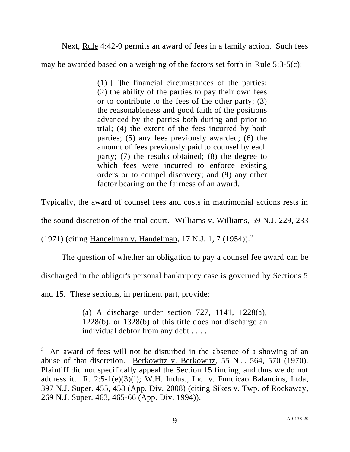Next, Rule 4:42-9 permits an award of fees in a family action. Such fees

may be awarded based on a weighing of the factors set forth in Rule 5:3-5(c):

(1) [T]he financial circumstances of the parties; (2) the ability of the parties to pay their own fees or to contribute to the fees of the other party; (3) the reasonableness and good faith of the positions advanced by the parties both during and prior to trial; (4) the extent of the fees incurred by both parties; (5) any fees previously awarded; (6) the amount of fees previously paid to counsel by each party; (7) the results obtained; (8) the degree to which fees were incurred to enforce existing orders or to compel discovery; and (9) any other factor bearing on the fairness of an award.

Typically, the award of counsel fees and costs in matrimonial actions rests in

the sound discretion of the trial court. Williams v. Williams, 59 N.J. 229, 233

(1971) (citing Handelman v. Handelman, 17 N.J. 1, 7 (1954)).<sup>2</sup>

The question of whether an obligation to pay a counsel fee award can be

discharged in the obligor's personal bankruptcy case is governed by Sections 5

and 15. These sections, in pertinent part, provide:

(a) A discharge under section 727, 1141, 1228(a), 1228(b), or 1328(b) of this title does not discharge an individual debtor from any debt . . . .

 $2$  An award of fees will not be disturbed in the absence of a showing of an abuse of that discretion. Berkowitz v. Berkowitz, 55 N.J. 564, 570 (1970). Plaintiff did not specifically appeal the Section 15 finding, and thus we do not address it. R. 2:5-1(e)(3)(i); W.H. Indus., Inc. v. Fundicao Balancins, Ltda, 397 N.J. Super. 455, 458 (App. Div. 2008) (citing Sikes v. Twp. of Rockaway, 269 N.J. Super. 463, 465-66 (App. Div. 1994)).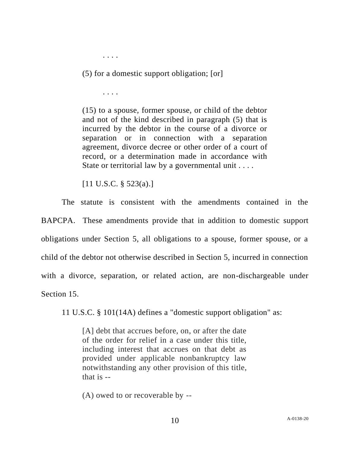. . . .

(5) for a domestic support obligation; [or]

. . . .

(15) to a spouse, former spouse, or child of the debtor and not of the kind described in paragraph (5) that is incurred by the debtor in the course of a divorce or separation or in connection with a separation agreement, divorce decree or other order of a court of record, or a determination made in accordance with State or territorial law by a governmental unit . . . .

[11 U.S.C. § 523(a).]

The statute is consistent with the amendments contained in the BAPCPA. These amendments provide that in addition to domestic support obligations under Section 5, all obligations to a spouse, former spouse, or a child of the debtor not otherwise described in Section 5, incurred in connection with a divorce, separation, or related action, are non-dischargeable under Section 15.

11 U.S.C. § 101(14A) defines a "domestic support obligation" as:

[A] debt that accrues before, on, or after the date of the order for relief in a case under this title, including interest that accrues on that debt as provided under applicable nonbankruptcy law notwithstanding any other provision of this title, that is --

(A) owed to or recoverable by --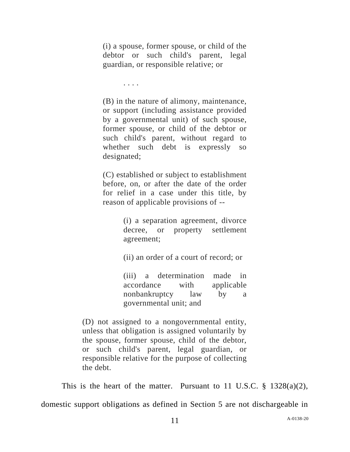(i) a spouse, former spouse, or child of the debtor or such child's parent, legal guardian, or responsible relative; or

. . . .

(B) in the nature of alimony, maintenance, or support (including assistance provided by a governmental unit) of such spouse, former spouse, or child of the debtor or such child's parent, without regard to whether such debt is expressly so designated;

(C) established or subject to establishment before, on, or after the date of the order for relief in a case under this title, by reason of applicable provisions of --

> (i) a separation agreement, divorce decree, or property settlement agreement;

(ii) an order of a court of record; or

(iii) a determination made in accordance with applicable nonbankruptcy law by a governmental unit; and

(D) not assigned to a nongovernmental entity, unless that obligation is assigned voluntarily by the spouse, former spouse, child of the debtor, or such child's parent, legal guardian, or responsible relative for the purpose of collecting the debt.

This is the heart of the matter. Pursuant to 11 U.S.C.  $\S$  1328(a)(2), domestic support obligations as defined in Section 5 are not dischargeable in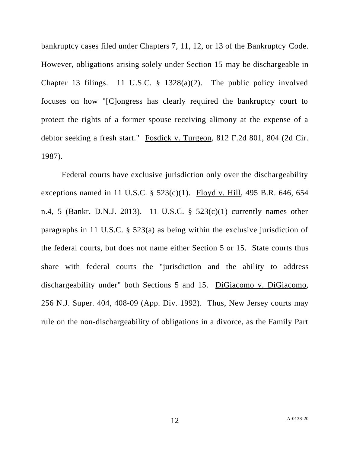bankruptcy cases filed under Chapters 7, 11, 12, or 13 of the Bankruptcy Code. However, obligations arising solely under Section 15 may be dischargeable in Chapter 13 filings. 11 U.S.C. § 1328(a)(2). The public policy involved focuses on how "[C]ongress has clearly required the bankruptcy court to protect the rights of a former spouse receiving alimony at the expense of a debtor seeking a fresh start." Fosdick v. Turgeon, 812 F.2d 801, 804 (2d Cir. 1987).

Federal courts have exclusive jurisdiction only over the dischargeability exceptions named in 11 U.S.C. § 523(c)(1). Floyd v. Hill, 495 B.R. 646, 654 n.4, 5 (Bankr. D.N.J. 2013). 11 U.S.C. § 523(c)(1) currently names other paragraphs in 11 U.S.C. § 523(a) as being within the exclusive jurisdiction of the federal courts, but does not name either Section 5 or 15. State courts thus share with federal courts the "jurisdiction and the ability to address dischargeability under" both Sections 5 and 15. DiGiacomo v. DiGiacomo, 256 N.J. Super. 404, 408-09 (App. Div. 1992). Thus, New Jersey courts may rule on the non-dischargeability of obligations in a divorce, as the Family Part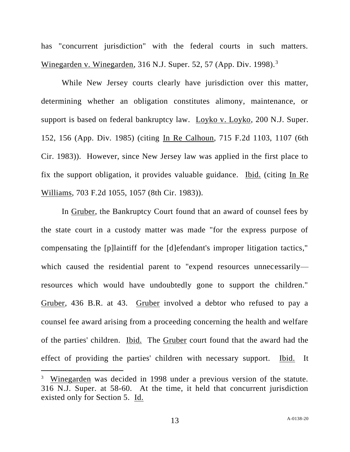has "concurrent jurisdiction" with the federal courts in such matters. Winegarden v. Winegarden, 316 N.J. Super. 52, 57 (App. Div. 1998).<sup>3</sup>

While New Jersey courts clearly have jurisdiction over this matter, determining whether an obligation constitutes alimony, maintenance, or support is based on federal bankruptcy law. Loyko v. Loyko, 200 N.J. Super. 152, 156 (App. Div. 1985) (citing In Re Calhoun*,* 715 F*.*2d 1103, 1107 (6th Cir. 1983)). However, since New Jersey law was applied in the first place to fix the support obligation, it provides valuable guidance. Ibid. (citing In Re Williams*,* 703 F*.*2d 1055, 1057 (8th Cir. 1983)).

In Gruber, the Bankruptcy Court found that an award of counsel fees by the state court in a custody matter was made "for the express purpose of compensating the [p]laintiff for the [d]efendant's improper litigation tactics," which caused the residential parent to "expend resources unnecessarily resources which would have undoubtedly gone to support the children." Gruber, 436 B.R. at 43. Gruber involved a debtor who refused to pay a counsel fee award arising from a proceeding concerning the health and welfare of the parties' children. Ibid. The Gruber court found that the award had the effect of providing the parties' children with necessary support. Ibid. It

<sup>&</sup>lt;sup>3</sup> Winegarden was decided in 1998 under a previous version of the statute. 316 N.J. Super. at 58-60. At the time, it held that concurrent jurisdiction existed only for Section 5. Id.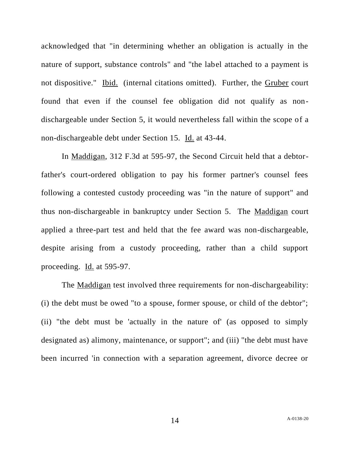acknowledged that "in determining whether an obligation is actually in the nature of support, substance controls" and "the label attached to a payment is not dispositive." Ibid. (internal citations omitted). Further, the Gruber court found that even if the counsel fee obligation did not qualify as nondischargeable under Section 5, it would nevertheless fall within the scope of a non-dischargeable debt under Section 15. Id. at 43-44.

In Maddigan, 312 F.3d at 595-97, the Second Circuit held that a debtorfather's court-ordered obligation to pay his former partner's counsel fees following a contested custody proceeding was "in the nature of support" and thus non-dischargeable in bankruptcy under Section 5. The Maddigan court applied a three-part test and held that the fee award was non-dischargeable, despite arising from a custody proceeding, rather than a child support proceeding. Id. at 595-97.

The <u>Maddigan</u> test involved three requirements for non-dischargeability: (i) the debt must be owed "to a spouse, former spouse, or child of the debtor"; (ii) "the debt must be 'actually in the nature of' (as opposed to simply designated as) alimony, maintenance, or support"; and (iii) "the debt must have been incurred 'in connection with a separation agreement, divorce decree or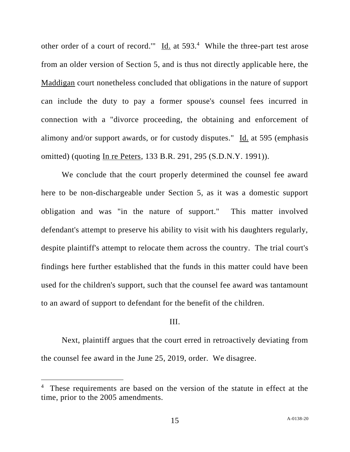other order of a court of record."  $\underline{Id}$  at 593.<sup>4</sup> While the three-part test arose from an older version of Section 5, and is thus not directly applicable here, the Maddigan court nonetheless concluded that obligations in the nature of support can include the duty to pay a former spouse's counsel fees incurred in connection with a "divorce proceeding, the obtaining and enforcement of alimony and/or support awards, or for custody disputes." Id. at 595 (emphasis omitted) (quoting In re Peters, 133 B.R. 291, 295 (S.D.N.Y. 1991)).

We conclude that the court properly determined the counsel fee award here to be non-dischargeable under Section 5, as it was a domestic support obligation and was "in the nature of support." This matter involved defendant's attempt to preserve his ability to visit with his daughters regularly, despite plaintiff's attempt to relocate them across the country. The trial court's findings here further established that the funds in this matter could have been used for the children's support, such that the counsel fee award was tantamount to an award of support to defendant for the benefit of the children.

## III.

Next, plaintiff argues that the court erred in retroactively deviating from the counsel fee award in the June 25, 2019, order. We disagree.

<sup>&</sup>lt;sup>4</sup> These requirements are based on the version of the statute in effect at the time, prior to the 2005 amendments.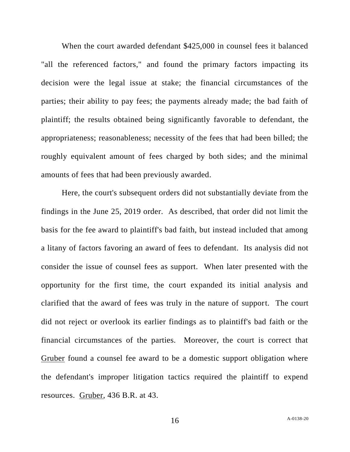When the court awarded defendant \$425,000 in counsel fees it balanced "all the referenced factors," and found the primary factors impacting its decision were the legal issue at stake; the financial circumstances of the parties; their ability to pay fees; the payments already made; the bad faith of plaintiff; the results obtained being significantly favorable to defendant, the appropriateness; reasonableness; necessity of the fees that had been billed; the roughly equivalent amount of fees charged by both sides; and the minimal amounts of fees that had been previously awarded.

Here, the court's subsequent orders did not substantially deviate from the findings in the June 25, 2019 order. As described, that order did not limit the basis for the fee award to plaintiff's bad faith, but instead included that among a litany of factors favoring an award of fees to defendant. Its analysis did not consider the issue of counsel fees as support. When later presented with the opportunity for the first time, the court expanded its initial analysis and clarified that the award of fees was truly in the nature of support. The court did not reject or overlook its earlier findings as to plaintiff's bad faith or the financial circumstances of the parties. Moreover, the court is correct that Gruber found a counsel fee award to be a domestic support obligation where the defendant's improper litigation tactics required the plaintiff to expend resources. Gruber, 436 B.R. at 43.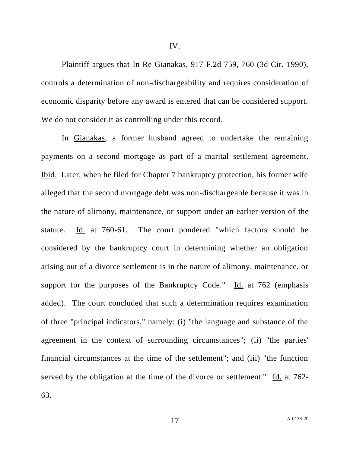Plaintiff argues that In Re Gianakas, 917 F.2d 759, 760 (3d Cir. 1990), controls a determination of non-dischargeability and requires consideration of

economic disparity before any award is entered that can be considered support. We do not consider it as controlling under this record.

In Gianakas, a former husband agreed to undertake the remaining payments on a second mortgage as part of a marital settlement agreement. Ibid. Later, when he filed for Chapter 7 bankruptcy protection, his former wife alleged that the second mortgage debt was non-dischargeable because it was in the nature of alimony, maintenance, or support under an earlier version of the statute. Id. at 760-61. The court pondered "which factors should be considered by the bankruptcy court in determining whether an obligation arising out of a divorce settlement is in the nature of alimony, maintenance, or support for the purposes of the Bankruptcy Code." Id. at  $762$  (emphasis added). The court concluded that such a determination requires examination of three "principal indicators," namely: (i) "the language and substance of the agreement in the context of surrounding circumstances"; (ii) "the parties' financial circumstances at the time of the settlement"; and (iii) "the function served by the obligation at the time of the divorce or settlement." Id. at 762- 63.